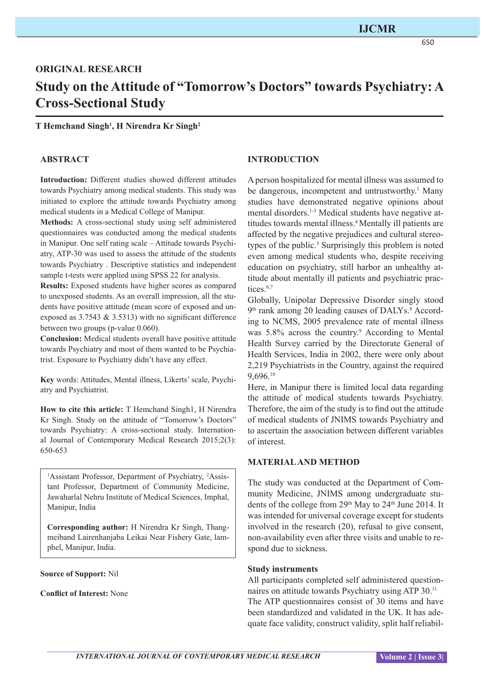# **ORIGINAL RESEARCH Study on the Attitude of "Tomorrow's Doctors" towards Psychiatry: A Cross-Sectional Study**

**T Hemchand Singh1 , H Nirendra Kr Singh2**

#### **ABSTRACT**

**Introduction:** Different studies showed different attitudes towards Psychiatry among medical students. This study was initiated to explore the attitude towards Psychiatry among medical students in a Medical College of Manipur.

**Methods:** A cross-sectional study using self administered questionnaires was conducted among the medical students in Manipur. One self rating scale – Attitude towards Psychiatry, ATP-30 was used to assess the attitude of the students towards Psychiatry . Descriptive statistics and independent sample t-tests were applied using SPSS 22 for analysis.

**Results:** Exposed students have higher scores as compared to unexposed students. As an overall impression, all the students have positive attitude (mean score of exposed and unexposed as 3.7543 & 3.5313) with no significant difference between two groups (p-value 0.060).

**Conclusion:** Medical students overall have positive attitude towards Psychiatry and most of them wanted to be Psychiatrist. Exposure to Psychiatry didn't have any effect.

**Key** words: Attitudes, Mental illness, Likerts' scale, Psychiatry and Psychiatrist.

**How to cite this article:** T Hemchand Singh1, H Nirendra Kr Singh. Study on the attitude of "Tomorrow's Doctors" towards Psychiatry: A cross-sectional study. International Journal of Contemporary Medical Research 2015;2(3): 650-653

<sup>1</sup>Assistant Professor, Department of Psychiatry, <sup>2</sup>Assistant Professor, Department of Community Medicine, Jawaharlal Nehru Institute of Medical Sciences, Imphal, Manipur, India

**Corresponding author:** H Nirendra Kr Singh, Thangmeiband Lairenhanjaba Leikai Near Fishery Gate, lamphel, Manipur, India.

**Source of Support:** Nil

**Conflict of Interest:** None

#### **INTRODUCTION**

A person hospitalized for mental illness was assumed to be dangerous, incompetent and untrustworthy.<sup>1</sup> Many studies have demonstrated negative opinions about mental disorders.<sup>1-3</sup> Medical students have negative attitudes towards mental illness.<sup>4</sup> Mentally ill patients are affected by the negative prejudices and cultural stereotypes of the public.<sup>5</sup> Surprisingly this problem is noted even among medical students who, despite receiving education on psychiatry, still harbor an unhealthy attitude about mentally ill patients and psychiatric practices.<sup>6,7</sup>

Globally, Unipolar Depressive Disorder singly stood 9<sup>th</sup> rank among 20 leading causes of DALYs.<sup>8</sup> According to NCMS, 2005 prevalence rate of mental illness was 5.8% across the country.<sup>9</sup> According to Mental Health Survey carried by the Directorate General of Health Services, India in 2002, there were only about 2,219 Psychiatrists in the Country, against the required 9,696.10

Here, in Manipur there is limited local data regarding the attitude of medical students towards Psychiatry. Therefore, the aim of the study is to find out the attitude of medical students of JNIMS towards Psychiatry and to ascertain the association between different variables of interest.

#### **MATERIAL AND METHOD**

The study was conducted at the Department of Community Medicine, JNIMS among undergraduate students of the college from 29<sup>th</sup> May to 24<sup>th</sup> June 2014. It was intended for universal coverage except for students involved in the research (20), refusal to give consent, non-availability even after three visits and unable to respond due to sickness.

#### **Study instruments**

All participants completed self administered questionnaires on attitude towards Psychiatry using ATP 30.11 The ATP questionnaires consist of 30 items and have been standardized and validated in the UK. It has adequate face validity, construct validity, split half reliabil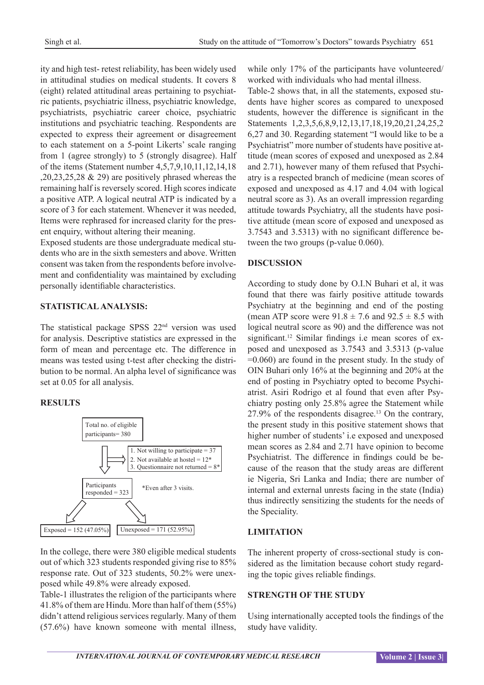ity and high test- retest reliability, has been widely used in attitudinal studies on medical students. It covers 8 (eight) related attitudinal areas pertaining to psychiatric patients, psychiatric illness, psychiatric knowledge, psychiatrists, psychiatric career choice, psychiatric institutions and psychiatric teaching. Respondents are expected to express their agreement or disagreement to each statement on a 5-point Likerts' scale ranging from 1 (agree strongly) to 5 (strongly disagree). Half of the items (Statement number 4,5,7,9,10,11,12,14,18 ,20,23,25,28 & 29) are positively phrased whereas the remaining half is reversely scored. High scores indicate a positive ATP. A logical neutral ATP is indicated by a score of 3 for each statement. Whenever it was needed, Items were rephrased for increased clarity for the present enquiry, without altering their meaning.

Exposed students are those undergraduate medical students who are in the sixth semesters and above. Written consent was taken from the respondents before involvement and confidentiality was maintained by excluding personally identifiable characteristics.

# **STATISTICAL ANALYSIS:**

The statistical package SPSS  $22<sup>nd</sup>$  version was used for analysis. Descriptive statistics are expressed in the form of mean and percentage etc. The difference in means was tested using t-test after checking the distribution to be normal. An alpha level of significance was set at 0.05 for all analysis.

# **RESULTS**



In the college, there were 380 eligible medical students out of which 323 students responded giving rise to 85% response rate. Out of 323 students, 50.2% were unexposed while 49.8% were already exposed.

Table-1 illustrates the religion of the participants where 41.8% of them are Hindu. More than half of them (55%) didn't attend religious services regularly. Many of them (57.6%) have known someone with mental illness, while only 17% of the participants have volunteered/ worked with individuals who had mental illness.

Table-2 shows that, in all the statements, exposed students have higher scores as compared to unexposed students, however the difference is significant in the Statements 1,2,3,5,6,8,9,12,13,17,18,19,20,21,24,25,2 6,27 and 30. Regarding statement "I would like to be a Psychiatrist" more number of students have positive attitude (mean scores of exposed and unexposed as 2.84 and 2.71), however many of them refused that Psychiatry is a respected branch of medicine (mean scores of exposed and unexposed as 4.17 and 4.04 with logical neutral score as 3). As an overall impression regarding attitude towards Psychiatry, all the students have positive attitude (mean score of exposed and unexposed as 3.7543 and 3.5313) with no significant difference between the two groups (p-value 0.060).

# **DISCUSSION**

According to study done by O.I.N Buhari et al, it was found that there was fairly positive attitude towards Psychiatry at the beginning and end of the posting (mean ATP score were  $91.8 \pm 7.6$  and  $92.5 \pm 8.5$  with logical neutral score as 90) and the difference was not significant.<sup>12</sup> Similar findings i.e mean scores of exposed and unexposed as 3.7543 and 3.5313 (p-value =0.060) are found in the present study. In the study of OIN Buhari only 16% at the beginning and 20% at the end of posting in Psychiatry opted to become Psychiatrist. Asiri Rodrigo et al found that even after Psychiatry posting only 25.8% agree the Statement while  $27.9\%$  of the respondents disagree.<sup>13</sup> On the contrary, the present study in this positive statement shows that higher number of students' i.e exposed and unexposed mean scores as 2.84 and 2.71 have opinion to become Psychiatrist. The difference in findings could be because of the reason that the study areas are different ie Nigeria, Sri Lanka and India; there are number of internal and external unrests facing in the state (India) thus indirectly sensitizing the students for the needs of the Speciality.

# **LIMITATION**

The inherent property of cross-sectional study is considered as the limitation because cohort study regarding the topic gives reliable findings.

# **STRENGTH OF THE STUDY**

Using internationally accepted tools the findings of the study have validity.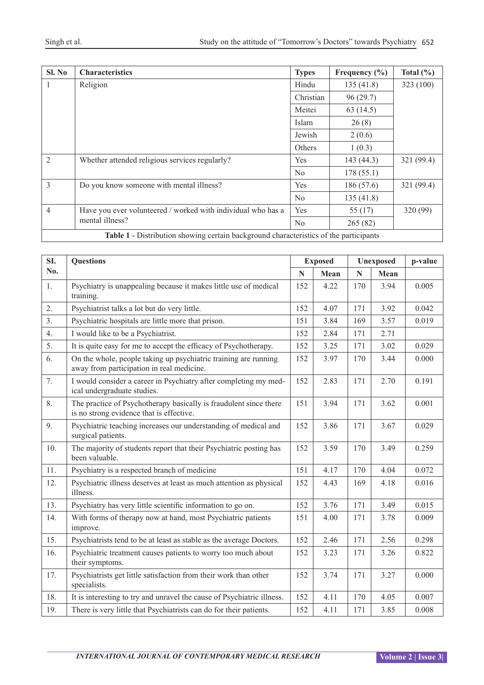| SI. No                                                                                       | <b>Characteristics</b>                                                          | <b>Types</b>   | Frequency $(\% )$ | Total $(\% )$ |  |  |  |  |
|----------------------------------------------------------------------------------------------|---------------------------------------------------------------------------------|----------------|-------------------|---------------|--|--|--|--|
| 1                                                                                            | Religion                                                                        | Hindu          | 135(41.8)         | 323 (100)     |  |  |  |  |
|                                                                                              |                                                                                 | Christian      | 96(29.7)          |               |  |  |  |  |
|                                                                                              |                                                                                 | Meitei         | 63(14.5)          |               |  |  |  |  |
|                                                                                              |                                                                                 | Islam          | 26(8)             |               |  |  |  |  |
|                                                                                              |                                                                                 | Jewish         | 2(0.6)            |               |  |  |  |  |
|                                                                                              |                                                                                 | Others         | 1(0.3)            |               |  |  |  |  |
| $\overline{2}$                                                                               | Whether attended religious services regularly?                                  | Yes            | 143(44.3)         | 321 (99.4)    |  |  |  |  |
|                                                                                              |                                                                                 | N <sub>0</sub> | 178(55.1)         |               |  |  |  |  |
| 3                                                                                            | Do you know someone with mental illness?                                        | Yes            | 186 (57.6)        | 321 (99.4)    |  |  |  |  |
|                                                                                              |                                                                                 | N <sub>0</sub> | 135(41.8)         |               |  |  |  |  |
| $\overline{4}$                                                                               | Have you ever volunteered / worked with individual who has a<br>mental illness? | Yes            | 55 (17)           | 320 (99)      |  |  |  |  |
|                                                                                              |                                                                                 | No             | 265(82)           |               |  |  |  |  |
| <b>Table 1 - Distribution showing certain background characteristics of the participants</b> |                                                                                 |                |                   |               |  |  |  |  |

| SI. | <b>Questions</b>                                                                                              | <b>Exposed</b> |      | Unexposed |      | p-value |
|-----|---------------------------------------------------------------------------------------------------------------|----------------|------|-----------|------|---------|
| No. |                                                                                                               | N              | Mean | N         | Mean |         |
| 1.  | Psychiatry is unappealing because it makes little use of medical<br>training.                                 | 152            | 4.22 | 170       | 3.94 | 0.005   |
| 2.  | Psychiatrist talks a lot but do very little.                                                                  | 152            | 4.07 | 171       | 3.92 | 0.042   |
| 3.  | Psychiatric hospitals are little more that prison.                                                            | 151            | 3.84 | 169       | 3.57 | 0.019   |
| 4.  | I would like to be a Psychiatrist.                                                                            | 152            | 2.84 | 171       | 2.71 |         |
| 5.  | It is quite easy for me to accept the efficacy of Psychotherapy.                                              | 152            | 3.25 | 171       | 3.02 | 0.029   |
| 6.  | On the whole, people taking up psychiatric training are running<br>away from participation in real medicine.  | 152            | 3.97 | 170       | 3.44 | 0.000   |
| 7.  | I would consider a career in Psychiatry after completing my med-<br>ical undergraduate studies.               | 152            | 2.83 | 171       | 2.70 | 0.191   |
| 8.  | The practice of Psychotherapy basically is fraudulent since there<br>is no strong evidence that is effective. | 151            | 3.94 | 171       | 3.62 | 0.001   |
| 9.  | Psychiatric teaching increases our understanding of medical and<br>surgical patients.                         | 152            | 3.86 | 171       | 3.67 | 0.029   |
| 10. | The majority of students report that their Psychiatric posting has<br>been valuable.                          | 152            | 3.59 | 170       | 3.49 | 0.259   |
| 11. | Psychiatry is a respected branch of medicine                                                                  | 151            | 4.17 | 170       | 4.04 | 0.072   |
| 12. | Psychiatric illness deserves at least as much attention as physical<br>illness.                               | 152            | 4.43 | 169       | 4.18 | 0.016   |
| 13. | Psychiatry has very little scientific information to go on.                                                   | 152            | 3.76 | 171       | 3.49 | 0.015   |
| 14. | With forms of therapy now at hand, most Psychiatric patients<br>improve.                                      | 151            | 4.00 | 171       | 3.78 | 0.009   |
| 15. | Psychiatrists tend to be at least as stable as the average Doctors.                                           | 152            | 2.46 | 171       | 2.56 | 0.298   |
| 16. | Psychiatric treatment causes patients to worry too much about<br>their symptoms.                              | 152            | 3.23 | 171       | 3.26 | 0.822   |
| 17. | Psychiatrists get little satisfaction from their work than other<br>specialists.                              | 152            | 3.74 | 171       | 3.27 | 0.000   |
| 18. | It is interesting to try and unravel the cause of Psychiatric illness.                                        | 152            | 4.11 | 170       | 4.05 | 0.007   |
| 19. | There is very little that Psychiatrists can do for their patients.                                            | 152            | 4.11 | 171       | 3.85 | 0.008   |